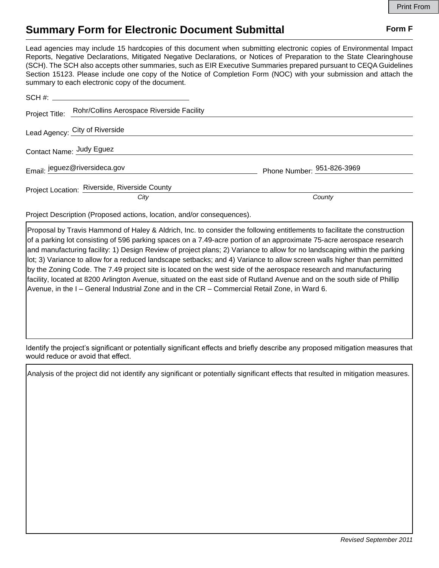## **Summary Form for Electronic Document Submittal Form F Form F**

Lead agencies may include 15 hardcopies of this document when submitting electronic copies of Environmental Impact Reports, Negative Declarations, Mitigated Negative Declarations, or Notices of Preparation to the State Clearinghouse (SCH). The SCH also accepts other summaries, such as EIR Executive Summaries prepared pursuant to CEQA Guidelines Section 15123. Please include one copy of the Notice of Completion Form (NOC) with your submission and attach the summary to each electronic copy of the document.

| Project Title: Rohr/Collins Aerospace Riverside Facility |                            |
|----------------------------------------------------------|----------------------------|
| Lead Agency: City of Riverside                           |                            |
| Contact Name: Judy Eguez                                 |                            |
| Email: jeguez@riversideca.gov                            | Phone Number: 951-826-3969 |
| Project Location: Riverside, Riverside County<br>City    | County                     |

Project Description (Proposed actions, location, and/or consequences).

Proposal by Travis Hammond of Haley & Aldrich, Inc. to consider the following entitlements to facilitate the construction of a parking lot consisting of 596 parking spaces on a 7.49-acre portion of an approximate 75-acre aerospace research and manufacturing facility: 1) Design Review of project plans; 2) Variance to allow for no landscaping within the parking lot; 3) Variance to allow for a reduced landscape setbacks; and 4) Variance to allow screen walls higher than permitted by the Zoning Code. The 7.49 project site is located on the west side of the aerospace research and manufacturing facility, located at 8200 Arlington Avenue, situated on the east side of Rutland Avenue and on the south side of Phillip Avenue, in the I – General Industrial Zone and in the CR – Commercial Retail Zone, in Ward 6.

Identify the project's significant or potentially significant effects and briefly describe any proposed mitigation measures that would reduce or avoid that effect.

Analysis of the project did not identify any significant or potentially significant effects that resulted in mitigation measures.